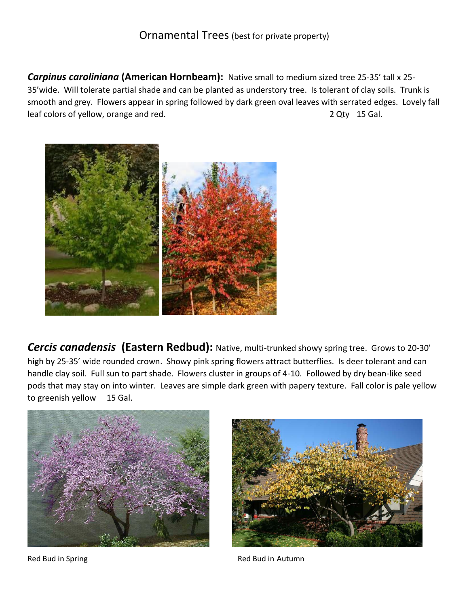*Carpinus caroliniana* **(American Hornbeam):** Native small to medium sized tree 25-35' tall x 25- 35'wide. Will tolerate partial shade and can be planted as understory tree. Is tolerant of clay soils. Trunk is smooth and grey. Flowers appear in spring followed by dark green oval leaves with serrated edges. Lovely fall leaf colors of yellow, orange and red. The same state of the state of the state of the state of the state of the state of the state of the state of the state of the state of the state of the state of the state of the state



*Cercis canadensis* **(Eastern Redbud):** Native, multi-trunked showy spring tree. Grows to 20-30' high by 25-35' wide rounded crown. Showy pink spring flowers attract butterflies. Is deer tolerant and can handle clay soil. Full sun to part shade. Flowers cluster in groups of 4-10. Followed by dry bean-like seed pods that may stay on into winter. Leaves are simple dark green with papery texture. Fall color is pale yellow to greenish yellow 15 Gal.





Red Bud in Spring **Red Bud in Autumn**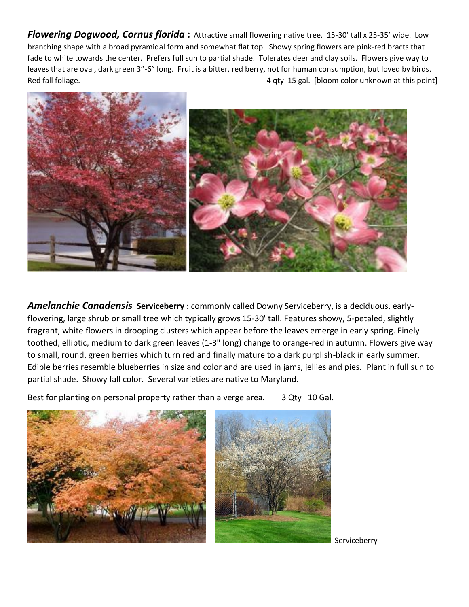*Flowering Dogwood, Cornus florida* **:** Attractive small flowering native tree. 15-30' tall x 25-35' wide. Low branching shape with a broad pyramidal form and somewhat flat top. Showy spring flowers are pink-red bracts that fade to white towards the center. Prefers full sun to partial shade. Tolerates deer and clay soils. Flowers give way to leaves that are oval, dark green 3"-6" long. Fruit is a bitter, red berry, not for human consumption, but loved by birds. Red fall foliage. A contract the set of the set of the set of the set of the set of the set of the set of the set of the set of the set of the set of the set of the set of the set of the set of the set of the set of the se



*Amelanchie Canadensis* **Serviceberry** : commonly called Downy Serviceberry, is a deciduous, earlyflowering, large shrub or small tree which typically grows 15-30' tall. Features showy, 5-petaled, slightly fragrant, white flowers in drooping clusters which appear before the leaves emerge in early spring. Finely toothed, elliptic, medium to dark green leaves (1-3" long) change to orange-red in autumn. Flowers give way to small, round, green berries which turn red and finally mature to a dark purplish-black in early summer. Edible berries resemble blueberries in size and color and are used in jams, jellies and pies. Plant in full sun to partial shade. Showy fall color. Several varieties are native to Maryland.

Best for planting on personal property rather than a verge area. 3 Qty 10 Gal.



Serviceberry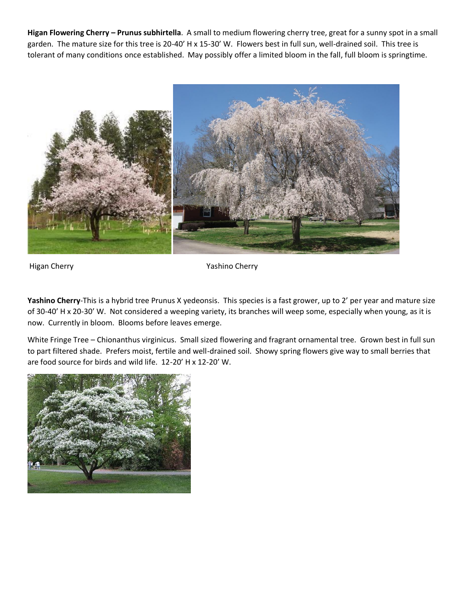**Higan Flowering Cherry – Prunus subhirtella**. A small to medium flowering cherry tree, great for a sunny spot in a small garden. The mature size for this tree is 20-40' H x 15-30' W. Flowers best in full sun, well-drained soil. This tree is tolerant of many conditions once established. May possibly offer a limited bloom in the fall, full bloom is springtime.



Higan Cherry **William Cherry Contract Cherry** Yashino Cherry

**Yashino Cherry**-This is a hybrid tree Prunus X yedeonsis. This species is a fast grower, up to 2' per year and mature size of 30-40' H x 20-30' W. Not considered a weeping variety, its branches will weep some, especially when young, as it is now. Currently in bloom. Blooms before leaves emerge.

White Fringe Tree – Chionanthus virginicus. Small sized flowering and fragrant ornamental tree. Grown best in full sun to part filtered shade. Prefers moist, fertile and well-drained soil. Showy spring flowers give way to small berries that are food source for birds and wild life. 12-20' H x 12-20' W.

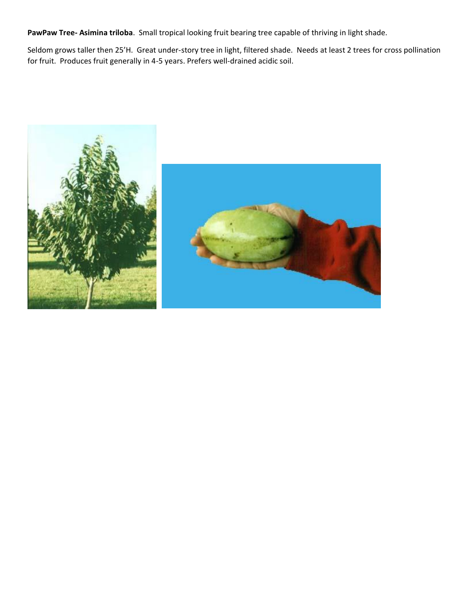**PawPaw Tree- Asimina triloba**. Small tropical looking fruit bearing tree capable of thriving in light shade.

Seldom grows taller then 25'H. Great under-story tree in light, filtered shade. Needs at least 2 trees for cross pollination for fruit. Produces fruit generally in 4-5 years. Prefers well-drained acidic soil.

![](_page_3_Picture_2.jpeg)